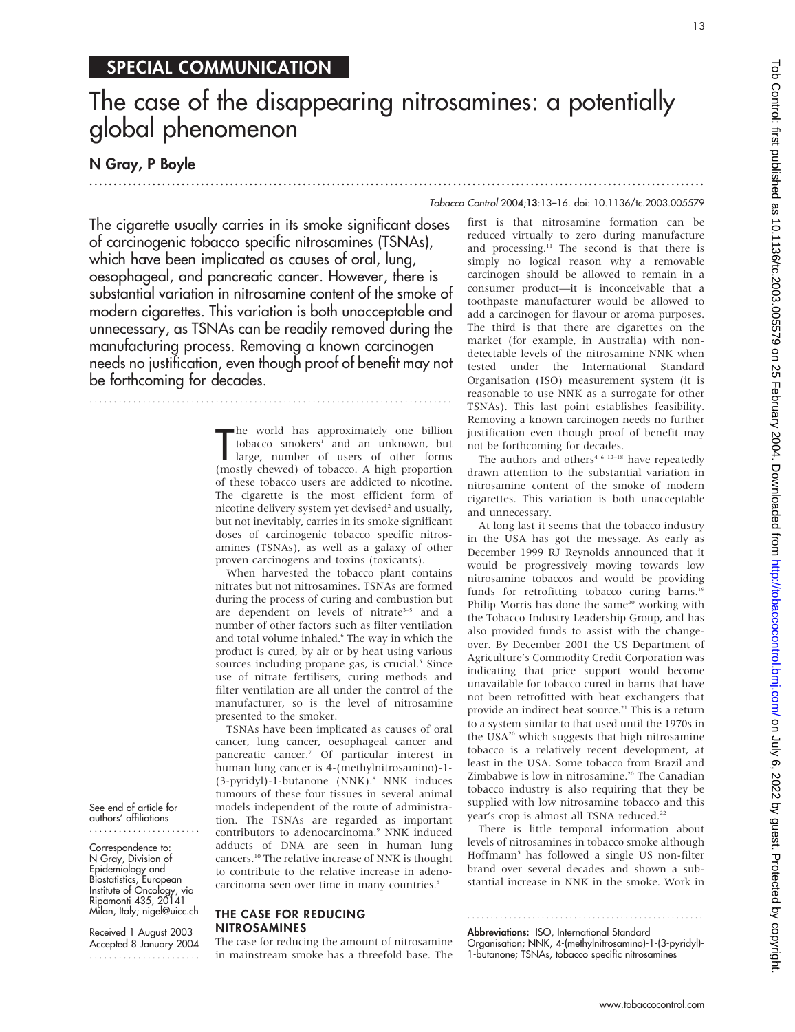### SPECIAL COMMUNICATION

## The case of the disappearing nitrosamines: a potentially global phenomenon

#### N Gray, P Boyle

#### Tobacco Control 2004;13:13–16. doi: 10.1136/tc.2003.005579

.............................................................................................................................. .

The cigarette usually carries in its smoke significant doses of carcinogenic tobacco specific nitrosamines (TSNAs), which have been implicated as causes of oral, lung, oesophageal, and pancreatic cancer. However, there is substantial variation in nitrosamine content of the smoke of modern cigarettes. This variation is both unacceptable and unnecessary, as TSNAs can be readily removed during the manufacturing process. Removing a known carcinogen needs no justification, even though proof of benefit may not be forthcoming for decades.

...........................................................................

The world has approximately one billion<br>tobacco smokers<sup>1</sup> and an unknown, but<br>large, number of users of other forms<br>(mostly chewed) of tobacco. A high proportion **h**e world has approximately one billion tobacco smokers<sup>1</sup> and an unknown, but large, number of users of other forms of these tobacco users are addicted to nicotine. The cigarette is the most efficient form of nicotine delivery system yet devised<sup>2</sup> and usually, but not inevitably, carries in its smoke significant doses of carcinogenic tobacco specific nitrosamines (TSNAs), as well as a galaxy of other proven carcinogens and toxins (toxicants).

When harvested the tobacco plant contains nitrates but not nitrosamines. TSNAs are formed during the process of curing and combustion but are dependent on levels of nitrate<sup>3-5</sup> and a number of other factors such as filter ventilation and total volume inhaled.<sup>6</sup> The way in which the product is cured, by air or by heat using various sources including propane gas, is crucial.<sup>5</sup> Since use of nitrate fertilisers, curing methods and filter ventilation are all under the control of the manufacturer, so is the level of nitrosamine presented to the smoker.

TSNAs have been implicated as causes of oral cancer, lung cancer, oesophageal cancer and pancreatic cancer.7 Of particular interest in human lung cancer is 4-(methylnitrosamino)-1- (3-pyridyl)-1-butanone (NNK).<sup>8</sup> NNK induces tumours of these four tissues in several animal models independent of the route of administration. The TSNAs are regarded as important contributors to adenocarcinoma.<sup>9</sup> NNK induced adducts of DNA are seen in human lung cancers.10 The relative increase of NNK is thought to contribute to the relative increase in adenocarcinoma seen over time in many countries.<sup>5</sup>

#### THE CASE FOR REDUCING NITROSAMINES

The case for reducing the amount of nitrosamine in mainstream smoke has a threefold base. The first is that nitrosamine formation can be reduced virtually to zero during manufacture and processing.<sup>11</sup> The second is that there is simply no logical reason why a removable carcinogen should be allowed to remain in a consumer product—it is inconceivable that a toothpaste manufacturer would be allowed to add a carcinogen for flavour or aroma purposes. The third is that there are cigarettes on the market (for example, in Australia) with nondetectable levels of the nitrosamine NNK when tested under the International Standard Organisation (ISO) measurement system (it is reasonable to use NNK as a surrogate for other TSNAs). This last point establishes feasibility. Removing a known carcinogen needs no further justification even though proof of benefit may not be forthcoming for decades.

The authors and others<sup>4 6 12–18</sup> have repeatedly drawn attention to the substantial variation in nitrosamine content of the smoke of modern cigarettes. This variation is both unacceptable and unnecessary.

At long last it seems that the tobacco industry in the USA has got the message. As early as December 1999 RJ Reynolds announced that it would be progressively moving towards low nitrosamine tobaccos and would be providing funds for retrofitting tobacco curing barns.<sup>19</sup> Philip Morris has done the same<sup>20</sup> working with the Tobacco Industry Leadership Group, and has also provided funds to assist with the changeover. By December 2001 the US Department of Agriculture's Commodity Credit Corporation was indicating that price support would become unavailable for tobacco cured in barns that have not been retrofitted with heat exchangers that provide an indirect heat source.<sup>21</sup> This is a return to a system similar to that used until the 1970s in the USA<sup>20</sup> which suggests that high nitrosamine tobacco is a relatively recent development, at least in the USA. Some tobacco from Brazil and Zimbabwe is low in nitrosamine.<sup>20</sup> The Canadian tobacco industry is also requiring that they be supplied with low nitrosamine tobacco and this year's crop is almost all TSNA reduced.<sup>22</sup>

There is little temporal information about levels of nitrosamines in tobacco smoke although Hoffmann<sup>5</sup> has followed a single US non-filter brand over several decades and shown a substantial increase in NNK in the smoke. Work in

Abbreviations: ISO, International Standard Organisation; NNK, 4-(methylnitrosamino)-1-(3-pyridyl)- 1-butanone; TSNAs, tobacco specific nitrosamines

...................................................

#### See end of article for authors' affiliations .......................

Correspondence to: N Gray, Division of Epidemiology and Biostatistics, European Institute of Oncology, via Ripamonti 435, 20141 Milan, Italy; nigel@uicc.ch

Received 1 August 2003 Accepted 8 January 2004 .......................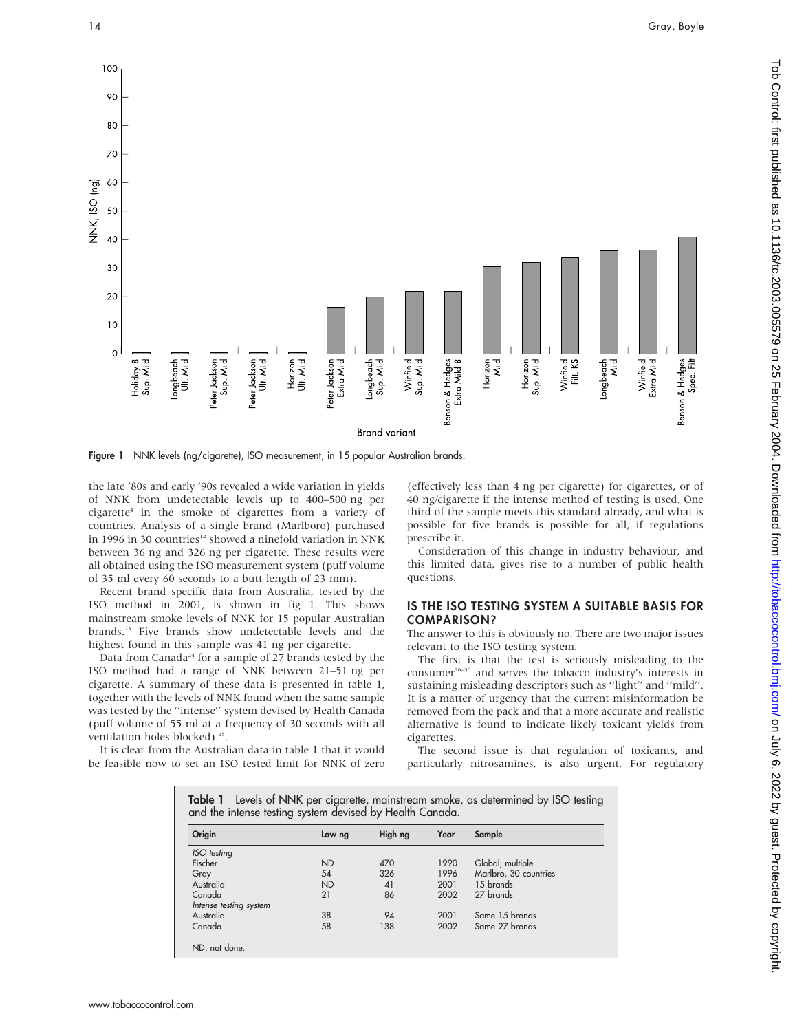

Figure 1 NNK levels (ng/cigarette), ISO measurement, in 15 popular Australian brands.

the late '80s and early '90s revealed a wide variation in yields of NNK from undetectable levels up to 400–500 ng per cigarette4 in the smoke of cigarettes from a variety of countries. Analysis of a single brand (Marlboro) purchased in 1996 in 30 countries<sup>12</sup> showed a ninefold variation in NNK between 36 ng and 326 ng per cigarette. These results were all obtained using the ISO measurement system (puff volume of 35 ml every 60 seconds to a butt length of 23 mm).

Recent brand specific data from Australia, tested by the ISO method in 2001, is shown in fig 1. This shows mainstream smoke levels of NNK for 15 popular Australian brands.23 Five brands show undetectable levels and the highest found in this sample was 41 ng per cigarette.

Data from Canada<sup>24</sup> for a sample of 27 brands tested by the ISO method had a range of NNK between 21–51 ng per cigarette. A summary of these data is presented in table 1, together with the levels of NNK found when the same sample was tested by the ''intense'' system devised by Health Canada (puff volume of 55 ml at a frequency of 30 seconds with all ventilation holes blocked).<sup>25</sup>.

It is clear from the Australian data in table 1 that it would be feasible now to set an ISO tested limit for NNK of zero

(effectively less than 4 ng per cigarette) for cigarettes, or of 40 ng/cigarette if the intense method of testing is used. One third of the sample meets this standard already, and what is possible for five brands is possible for all, if regulations prescribe it.

Consideration of this change in industry behaviour, and this limited data, gives rise to a number of public health questions.

#### IS THE ISO TESTING SYSTEM A SUITABLE BASIS FOR COMPARISON?

The answer to this is obviously no. There are two major issues relevant to the ISO testing system.

The first is that the test is seriously misleading to the consumer<sup>26–30</sup> and serves the tobacco industry's interests in sustaining misleading descriptors such as ''light'' and ''mild''. It is a matter of urgency that the current misinformation be removed from the pack and that a more accurate and realistic alternative is found to indicate likely toxicant yields from cigarettes.

The second issue is that regulation of toxicants, and particularly nitrosamines, is also urgent. For regulatory

| Table 1 Levels of NNK per cigarette, mainstream smoke, as determined by ISO testing<br>and the intense testing system devised by Health Canada. |           |         |      |                       |
|-------------------------------------------------------------------------------------------------------------------------------------------------|-----------|---------|------|-----------------------|
| Origin                                                                                                                                          | Low ng    | High ng | Year | Sample                |
| ISO testing                                                                                                                                     |           |         |      |                       |
| Fischer                                                                                                                                         | <b>ND</b> | 470     | 1990 | Global, multiple      |
| Gray                                                                                                                                            | 54        | 326     | 1996 | Marlbro, 30 countries |
| Australia                                                                                                                                       | <b>ND</b> | 41      | 2001 | 15 brands             |
| Canada                                                                                                                                          | 21        | 86      | 2002 | 27 brands             |
| Intense testing system                                                                                                                          |           |         |      |                       |
| Australia                                                                                                                                       | 38        | 94      | 2001 | Same 15 brands        |
| Canada                                                                                                                                          | 58        | 138     | 2002 | Same 27 brands        |
| ND, not done.                                                                                                                                   |           |         |      |                       |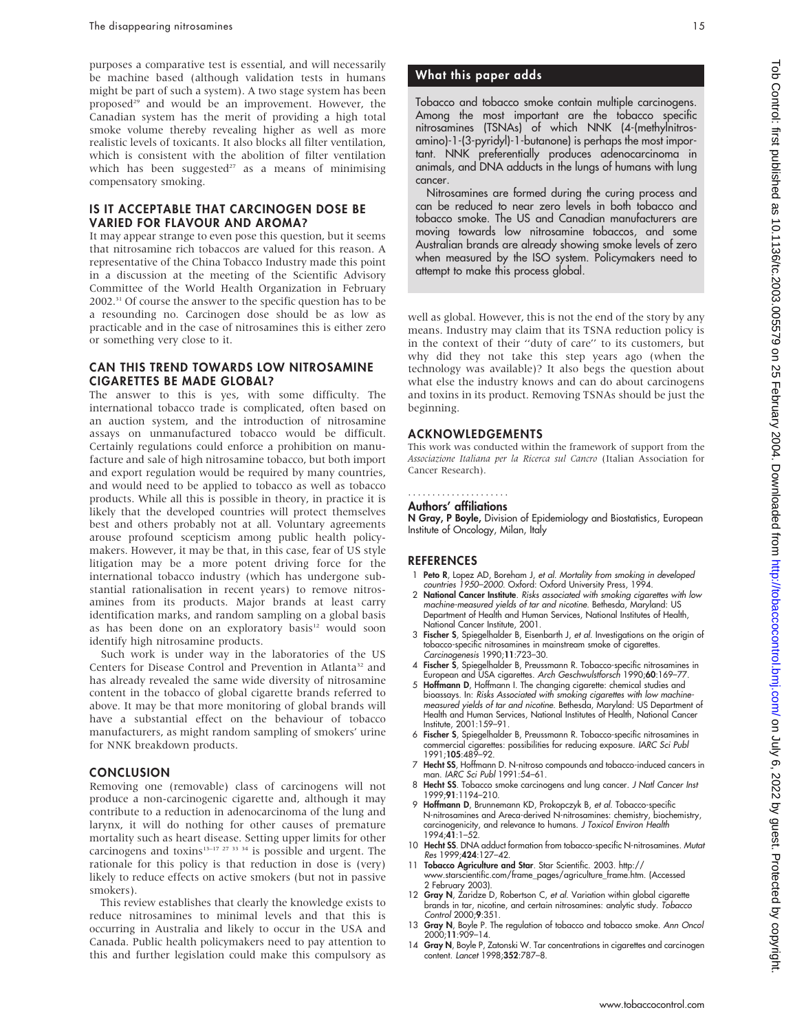purposes a comparative test is essential, and will necessarily be machine based (although validation tests in humans might be part of such a system). A two stage system has been proposed<sup>29</sup> and would be an improvement. However, the Canadian system has the merit of providing a high total smoke volume thereby revealing higher as well as more realistic levels of toxicants. It also blocks all filter ventilation, which is consistent with the abolition of filter ventilation which has been suggested<sup>27</sup> as a means of minimising compensatory smoking.

#### IS IT ACCEPTABLE THAT CARCINOGEN DOSE BE VARIED FOR FLAVOUR AND AROMA?

It may appear strange to even pose this question, but it seems that nitrosamine rich tobaccos are valued for this reason. A representative of the China Tobacco Industry made this point in a discussion at the meeting of the Scientific Advisory Committee of the World Health Organization in February 2002.31 Of course the answer to the specific question has to be a resounding no. Carcinogen dose should be as low as practicable and in the case of nitrosamines this is either zero or something very close to it.

#### CAN THIS TREND TOWARDS LOW NITROSAMINE CIGARETTES BE MADE GLOBAL?

The answer to this is yes, with some difficulty. The international tobacco trade is complicated, often based on an auction system, and the introduction of nitrosamine assays on unmanufactured tobacco would be difficult. Certainly regulations could enforce a prohibition on manufacture and sale of high nitrosamine tobacco, but both import and export regulation would be required by many countries, and would need to be applied to tobacco as well as tobacco products. While all this is possible in theory, in practice it is likely that the developed countries will protect themselves best and others probably not at all. Voluntary agreements arouse profound scepticism among public health policymakers. However, it may be that, in this case, fear of US style litigation may be a more potent driving force for the international tobacco industry (which has undergone substantial rationalisation in recent years) to remove nitrosamines from its products. Major brands at least carry identification marks, and random sampling on a global basis as has been done on an exploratory basis<sup>12</sup> would soon identify high nitrosamine products.

Such work is under way in the laboratories of the US Centers for Disease Control and Prevention in Atlanta<sup>32</sup> and has already revealed the same wide diversity of nitrosamine content in the tobacco of global cigarette brands referred to above. It may be that more monitoring of global brands will have a substantial effect on the behaviour of tobacco manufacturers, as might random sampling of smokers' urine for NNK breakdown products.

#### **CONCLUSION**

Removing one (removable) class of carcinogens will not produce a non-carcinogenic cigarette and, although it may contribute to a reduction in adenocarcinoma of the lung and larynx, it will do nothing for other causes of premature mortality such as heart disease. Setting upper limits for other carcinogens and toxins<sup>13-17 27</sup> <sup>33</sup> <sup>34</sup> is possible and urgent. The rationale for this policy is that reduction in dose is (very) likely to reduce effects on active smokers (but not in passive smokers).

This review establishes that clearly the knowledge exists to reduce nitrosamines to minimal levels and that this is occurring in Australia and likely to occur in the USA and Canada. Public health policymakers need to pay attention to this and further legislation could make this compulsory as

#### What this paper adds

Tobacco and tobacco smoke contain multiple carcinogens. Among the most important are the tobacco specific nitrosamines (TSNAs) of which NNK (4-(methylnitrosamino)-1-(3-pyridyl)-1-butanone) is perhaps the most important. NNK preferentially produces adenocarcinoma in animals, and DNA adducts in the lungs of humans with lung cancer.

Nitrosamines are formed during the curing process and can be reduced to near zero levels in both tobacco and tobacco smoke. The US and Canadian manufacturers are moving towards low nitrosamine tobaccos, and some Australian brands are already showing smoke levels of zero when measured by the ISO system. Policymakers need to attempt to make this process global.

well as global. However, this is not the end of the story by any means. Industry may claim that its TSNA reduction policy is in the context of their ''duty of care'' to its customers, but why did they not take this step years ago (when the technology was available)? It also begs the question about what else the industry knows and can do about carcinogens and toxins in its product. Removing TSNAs should be just the beginning.

#### ACKNOWLEDGEMENTS

This work was conducted within the framework of support from the Associazione Italiana per la Ricerca sul Cancro (Italian Association for Cancer Research).

#### Authors' affiliations .....................

N Gray, P Boyle, Division of Epidemiology and Biostatistics, European Institute of Oncology, Milan, Italy

#### **REFERENCES**

- 1 Peto R, Lopez AD, Boreham J, et al. Mortality from smoking in developed countries 1950–2000. Oxford: Oxford University Press, 1994.
- 2 National Cancer Institute. Risks associated with smoking cigarettes with low machine-measured yields of tar and nicotine. Bethesda, Maryland: US Department of Health and Human Services, National Institutes of Health, National Cancer Institute, 2001.
- 3 Fischer S, Spiegelhalder B, Eisenbarth J, et al. Investigations on the origin of tobacco-specific nitrosamines in mainstream smoke of cigarettes. Carcinogenesis 1990;11:723–30.
- 4 Fischer S, Spiegelhalder B, Preussmann R. Tobacco-specific nitrosamines in European and USA cigarettes. Arch Geschwulstforsch 1990;60:169–77.
- 5 Hoffmann D, Hoffmann I. The changing cigarette: chemical studies and bioassays. In: Risks Associated with smoking cigarettes with low machine-measured yields of tar and nicotine. Bethesda, Maryland: US Department of Health and Human Services, National Institutes of Health, National Cancer Institute, 2001:159–91.
- 6 Fischer S, Spiegelhalder B, Preussmann R. Tobacco-specific nitrosamines in commercial cigarettes: possibilities for reducing exposure. *IARC Sci Pub*<br>1991;**105**:489–92.
- 7 Hecht SS, Hoffmann D. N-nitroso compounds and tobacco-induced cancers in man. IARC Sci Publ 1991:54–61.
- 8 Hecht SS. Tobacco smoke carcinogens and lung cancer. J Natl Cancer Inst 1999;91:1194–210.
- 9 Hoffmann D, Brunnemann KD, Prokopczyk B, et al. Tobacco-specific N-nitrosamines and Areca-derived N-nitrosamines: chemistry, biochemistry, carcinogenicity, and relevance to humans. J Toxicol Environ Health 1994;41:1–52.
- 10 Hecht SS. DNA adduct formation from tobacco-specific N-nitrosamines. Mutat Res 1999;424:127–42.
- 11 Tobacco Agriculture and Star. Star Scientific. 2003. http:// www.starscientific.com/frame\_pages/agriculture\_frame.htm. (Accessed 2 February 2003).
- 12 Gray N, Zaridze D, Robertson C, et al. Variation within global cigarette brands in tar, nicotine, and certain nitrosamines: analytic study. Tobacco Control 2000;9:351.
- 13 Gray N, Boyle P. The regulation of tobacco and tobacco smoke. Ann Oncol 2000;11:909–14.
- 14 Gray N, Boyle P, Zatonski W. Tar concentrations in cigarettes and carcinogen content. Lancet 1998;352:787–8.